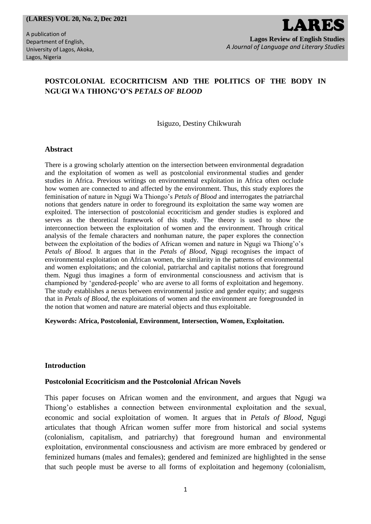#### **(LARES) VOL 20, No. 2, Dec 2021**

A publication of Department of English, University of Lagos, Akoka, Lagos, Nigeria

# **POSTCOLONIAL ECOCRITICISM AND THE POLITICS OF THE BODY IN NGUGI WA THIONG'O'S** *PETALS OF BLOOD*

Isiguzo, Destiny Chikwurah

#### **Abstract**

There is a growing scholarly attention on the intersection between environmental degradation and the exploitation of women as well as postcolonial environmental studies and gender studies in Africa. Previous writings on environmental exploitation in Africa often occlude how women are connected to and affected by the environment. Thus, this study explores the feminisation of nature in Ngugi Wa Thiongo's *Petals of Blood* and interrogates the patriarchal notions that genders nature in order to foreground its exploitation the same way women are exploited. The intersection of postcolonial ecocriticism and gender studies is explored and serves as the theoretical framework of this study. The theory is used to show the interconnection between the exploitation of women and the environment. Through critical analysis of the female characters and nonhuman nature, the paper explores the connection between the exploitation of the bodies of African women and nature in Ngugi wa Thiong'o's *Petals of Blood.* It argues that in the *Petals of Blood*, Ngugi recognises the impact of environmental exploitation on African women, the similarity in the patterns of environmental and women exploitations; and the colonial, patriarchal and capitalist notions that foreground them. Ngugi thus imagines a form of environmental consciousness and activism that is championed by 'gendered-people' who are averse to all forms of exploitation and hegemony. The study establishes a nexus between environmental justice and gender equity; and suggests that in *Petals of Blood*, the exploitations of women and the environment are foregrounded in the notion that women and nature are material objects and thus exploitable.

#### **Keywords: Africa, Postcolonial, Environment, Intersection, Women, Exploitation.**

### **Introduction**

### **Postcolonial Ecocriticism and the Postcolonial African Novels**

This paper focuses on African women and the environment, and argues that Ngugi wa Thiong'o establishes a connection between environmental exploitation and the sexual, economic and social exploitation of women. It argues that in *Petals of Blood*, Ngugi articulates that though African women suffer more from historical and social systems (colonialism, capitalism, and patriarchy) that foreground human and environmental exploitation, environmental consciousness and activism are more embraced by gendered or feminized humans (males and females); gendered and feminized are highlighted in the sense that such people must be averse to all forms of exploitation and hegemony (colonialism,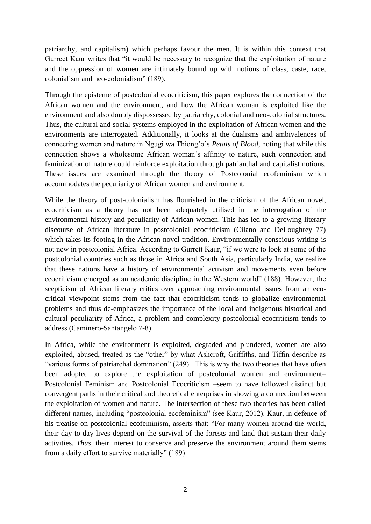patriarchy, and capitalism) which perhaps favour the men. It is within this context that Gurreet Kaur writes that "it would be necessary to recognize that the exploitation of nature and the oppression of women are intimately bound up with notions of class, caste, race, colonialism and neo-colonialism" (189).

Through the episteme of postcolonial ecocriticism, this paper explores the connection of the African women and the environment, and how the African woman is exploited like the environment and also doubly dispossessed by patriarchy, colonial and neo-colonial structures. Thus, the cultural and social systems employed in the exploitation of African women and the environments are interrogated. Additionally, it looks at the dualisms and ambivalences of connecting women and nature in Ngugi wa Thiong'o's *Petals of Blood*, noting that while this connection shows a wholesome African woman's affinity to nature, such connection and feminization of nature could reinforce exploitation through patriarchal and capitalist notions. These issues are examined through the theory of Postcolonial ecofeminism which accommodates the peculiarity of African women and environment.

While the theory of post-colonialism has flourished in the criticism of the African novel, ecocriticism as a theory has not been adequately utilised in the interrogation of the environmental history and peculiarity of African women. This has led to a growing literary discourse of African literature in postcolonial ecocriticism (Cilano and DeLoughrey 77) which takes its footing in the African novel tradition. Environmentally conscious writing is not new in postcolonial Africa. According to Gurrett Kaur, "if we were to look at some of the postcolonial countries such as those in Africa and South Asia, particularly India, we realize that these nations have a history of environmental activism and movements even before ecocriticism emerged as an academic discipline in the Western world" (188). However, the scepticism of African literary critics over approaching environmental issues from an ecocritical viewpoint stems from the fact that ecocriticism tends to globalize environmental problems and thus de-emphasizes the importance of the local and indigenous historical and cultural peculiarity of Africa, a problem and complexity postcolonial-ecocriticism tends to address (Caminero-Santangelo 7-8).

In Africa, while the environment is exploited, degraded and plundered, women are also exploited, abused, treated as the "other" by what Ashcroft, Griffiths, and Tiffin describe as "various forms of patriarchal domination" (249). This is why the two theories that have often been adopted to explore the exploitation of postcolonial women and environment– Postcolonial Feminism and Postcolonial Ecocriticism –seem to have followed distinct but convergent paths in their critical and theoretical enterprises in showing a connection between the exploitation of women and nature. The intersection of these two theories has been called different names, including "postcolonial ecofeminism" (see Kaur, 2012). Kaur, in defence of his treatise on postcolonial ecofeminism, asserts that: "For many women around the world, their day-to-day lives depend on the survival of the forests and land that sustain their daily activities. *Thus,* their interest to conserve and preserve the environment around them stems from a daily effort to survive materially" (189)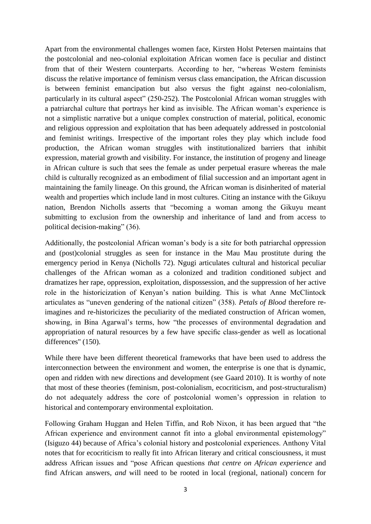Apart from the environmental challenges women face, Kirsten Holst Petersen maintains that the postcolonial and neo-colonial exploitation African women face is peculiar and distinct from that of their Western counterparts. According to her, "whereas Western feminists discuss the relative importance of feminism versus class emancipation, the African discussion is between feminist emancipation but also versus the fight against neo-colonialism, particularly in its cultural aspect" (250-252). The Postcolonial African woman struggles with a patriarchal culture that portrays her kind as invisible. The African woman's experience is not a simplistic narrative but a unique complex construction of material, political, economic and religious oppression and exploitation that has been adequately addressed in postcolonial and feminist writings. Irrespective of the important roles they play which include food production, the African woman struggles with institutionalized barriers that inhibit expression, material growth and visibility. For instance, the institution of progeny and lineage in African culture is such that sees the female as under perpetual erasure whereas the male child is culturally recognized as an embodiment of filial succession and an important agent in maintaining the family lineage. On this ground, the African woman is disinherited of material wealth and properties which include land in most cultures. Citing an instance with the Gikuyu nation, Brendon Nicholls asserts that "becoming a woman among the Gikuyu meant submitting to exclusion from the ownership and inheritance of land and from access to political decision-making" (36).

Additionally, the postcolonial African woman's body is a site for both patriarchal oppression and (post)colonial struggles as seen for instance in the Mau Mau prostitute during the emergency period in Kenya (Nicholls 72). Ngugi articulates cultural and historical peculiar challenges of the African woman as a colonized and tradition conditioned subject and dramatizes her rape, oppression, exploitation, dispossession, and the suppression of her active role in the historicization of Kenyan's nation building. This is what Anne McClintock articulates as "uneven gendering of the national citizen" (358). *Petals of Blood* therefore reimagines and re-historicizes the peculiarity of the mediated construction of African women, showing, in Bina Agarwal's terms, how "the processes of environmental degradation and appropriation of natural resources by a few have specific class-gender as well as locational differences" (150).

While there have been different theoretical frameworks that have been used to address the interconnection between the environment and women, the enterprise is one that is dynamic, open and ridden with new directions and development (see Gaard 2010). It is worthy of note that most of these theories (feminism, post-colonialism, ecocriticism, and post-structuralism) do not adequately address the core of postcolonial women's oppression in relation to historical and contemporary environmental exploitation.

Following Graham Huggan and Helen Tiffin, and Rob Nixon, it has been argued that "the African experience and environment cannot fit into a global environmental epistemology" (Isiguzo 44) because of Africa's colonial history and postcolonial experiences. Anthony Vital notes that for ecocriticism to really fit into African literary and critical consciousness, it must address African issues and "pose African questions *that centre on African experience* and find African answers, *and* will need to be rooted in local (regional, national) concern for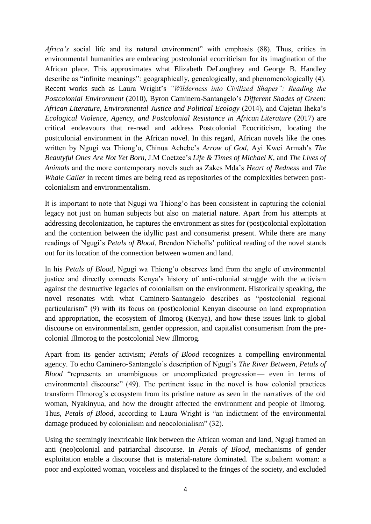*Africa's* social life and its natural environment" with emphasis (88). Thus, critics in environmental humanities are embracing postcolonial ecocriticism for its imagination of the African place. This approximates what Elizabeth DeLoughrey and George B. Handley describe as "infinite meanings": geographically, genealogically, and phenomenologically (4). Recent works such as Laura Wright's *"Wilderness into Civilized Shapes": Reading the Postcolonial Environment* (2010), Byron Caminero-Santangelo's *Different Shades of Green: African Literature, Environmental Justice and Political Ecology* (2014), and Cajetan Iheka's *Ecological Violence, Agency, and Postcolonial Resistance in African Literature* (2017) are critical endeavours that re-read and address Postcolonial Ecocriticism, locating the postcolonial environment in the African novel. In this regard, African novels like the ones written by Ngugi wa Thiong'o, Chinua Achebe's *Arrow of God*, Ayi Kwei Armah's *The Beautyful Ones Are Not Yet Born*, J.M Coetzee's *Life & Times of Michael K*, and *The Lives of Animals* and the more contemporary novels such as Zakes Mda's *Heart of Redness* and *The Whale Caller* in recent times are being read as repositories of the complexities between postcolonialism and environmentalism.

It is important to note that Ngugi wa Thiong'o has been consistent in capturing the colonial legacy not just on human subjects but also on material nature. Apart from his attempts at addressing decolonization, he captures the environment as sites for (post)colonial exploitation and the contention between the idyllic past and consumerist present. While there are many readings of Ngugi's *Petals of Blood*, Brendon Nicholls' political reading of the novel stands out for its location of the connection between women and land.

In his *Petals of Blood*, Ngugi wa Thiong'o observes land from the angle of environmental justice and directly connects Kenya's history of anti-colonial struggle with the activism against the destructive legacies of colonialism on the environment. Historically speaking, the novel resonates with what Caminero-Santangelo describes as "postcolonial regional particularism" (9) with its focus on (post)colonial Kenyan discourse on land expropriation and appropriation, the ecosystem of Ilmorog (Kenya), and how these issues link to global discourse on environmentalism, gender oppression, and capitalist consumerism from the precolonial Illmorog to the postcolonial New Illmorog.

Apart from its gender activism; *Petals of Blood* recognizes a compelling environmental agency. To echo Caminero-Santangelo's description of Ngugi's *The River Between*, *Petals of Blood* "represents an unambiguous or uncomplicated progression— even in terms of environmental discourse" (49). The pertinent issue in the novel is how colonial practices transform Illmorog's ecosystem from its pristine nature as seen in the narratives of the old woman, Nyakinyua, and how the drought affected the environment and people of Ilmorog. Thus, *Petals of Blood*, according to Laura Wright is "an indictment of the environmental damage produced by colonialism and neocolonialism" (32).

Using the seemingly inextricable link between the African woman and land, Ngugi framed an anti (neo)colonial and patriarchal discourse. In *Petals of Blood*, mechanisms of gender exploitation enable a discourse that is material-nature dominated. The subaltern woman: a poor and exploited woman, voiceless and displaced to the fringes of the society, and excluded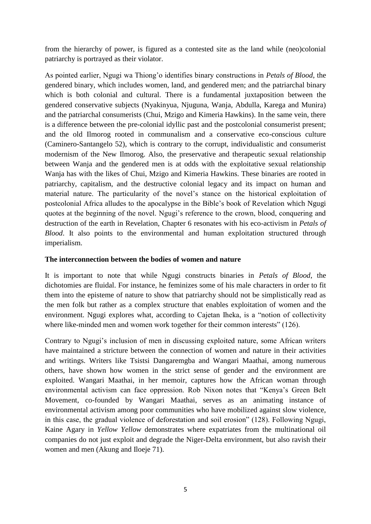from the hierarchy of power, is figured as a contested site as the land while (neo)colonial patriarchy is portrayed as their violator.

As pointed earlier, Ngugi wa Thiong'o identifies binary constructions in *Petals of Blood*, the gendered binary, which includes women, land, and gendered men; and the patriarchal binary which is both colonial and cultural. There is a fundamental juxtaposition between the gendered conservative subjects (Nyakinyua, Njuguna, Wanja, Abdulla, Karega and Munira) and the patriarchal consumerists (Chui, Mzigo and Kimeria Hawkins). In the same vein, there is a difference between the pre-colonial idyllic past and the postcolonial consumerist present; and the old Ilmorog rooted in communalism and a conservative eco-conscious culture (Caminero-Santangelo 52), which is contrary to the corrupt, individualistic and consumerist modernism of the New Ilmorog. Also, the preservative and therapeutic sexual relationship between Wanja and the gendered men is at odds with the exploitative sexual relationship Wanja has with the likes of Chui, Mzigo and Kimeria Hawkins. These binaries are rooted in patriarchy, capitalism, and the destructive colonial legacy and its impact on human and material nature. The particularity of the novel's stance on the historical exploitation of postcolonial Africa alludes to the apocalypse in the Bible's book of Revelation which Ngugi quotes at the beginning of the novel. Ngugi's reference to the crown, blood, conquering and destruction of the earth in Revelation, Chapter 6 resonates with his eco-activism in *Petals of Blood*. It also points to the environmental and human exploitation structured through imperialism.

## **The interconnection between the bodies of women and nature**

It is important to note that while Ngugi constructs binaries in *Petals of Blood*, the dichotomies are fluidal. For instance, he feminizes some of his male characters in order to fit them into the episteme of nature to show that patriarchy should not be simplistically read as the men folk but rather as a complex structure that enables exploitation of women and the environment. Ngugi explores what, according to Cajetan Iheka, is a "notion of collectivity where like-minded men and women work together for their common interests" (126).

Contrary to Ngugi's inclusion of men in discussing exploited nature, some African writers have maintained a stricture between the connection of women and nature in their activities and writings. Writers like Tsistsi Dangaremgba and Wangari Maathai, among numerous others, have shown how women in the strict sense of gender and the environment are exploited. Wangari Maathai, in her memoir, captures how the African woman through environmental activism can face oppression. Rob Nixon notes that "Kenya's Green Belt Movement, co-founded by Wangari Maathai, serves as an animating instance of environmental activism among poor communities who have mobilized against slow violence, in this case, the gradual violence of deforestation and soil erosion" (128). Following Ngugi, Kaine Agary in *Yellow Yellow* demonstrates where expatriates from the multinational oil companies do not just exploit and degrade the Niger-Delta environment, but also ravish their women and men (Akung and Iloeje 71).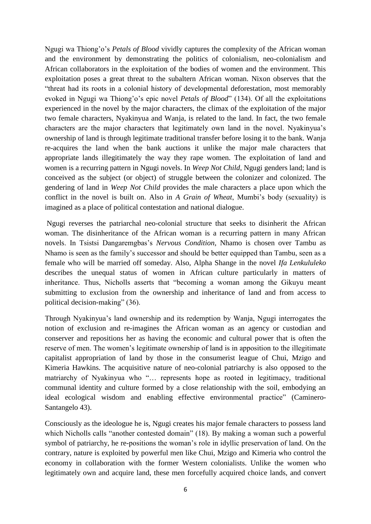Ngugi wa Thiong'o's *Petals of Blood* vividly captures the complexity of the African woman and the environment by demonstrating the politics of colonialism, neo-colonialism and African collaborators in the exploitation of the bodies of women and the environment. This exploitation poses a great threat to the subaltern African woman. Nixon observes that the "threat had its roots in a colonial history of developmental deforestation, most memorably evoked in Ngugi wa Thiong'o's epic novel *Petals of Blood*" (134). Of all the exploitations experienced in the novel by the major characters, the climax of the exploitation of the major two female characters, Nyakinyua and Wanja, is related to the land. In fact, the two female characters are the major characters that legitimately own land in the novel. Nyakinyua's ownership of land is through legitimate traditional transfer before losing it to the bank. Wanja re-acquires the land when the bank auctions it unlike the major male characters that appropriate lands illegitimately the way they rape women. The exploitation of land and women is a recurring pattern in Ngugi novels. In *Weep Not Child*, Ngugi genders land; land is conceived as the subject (or object) of struggle between the colonizer and colonized. The gendering of land in *Weep Not Child* provides the male characters a place upon which the conflict in the novel is built on. Also in *A Grain of Wheat*, Mumbi's body (sexuality) is imagined as a place of political contestation and national dialogue.

Ngugi reverses the patriarchal neo-colonial structure that seeks to disinherit the African woman. The disinheritance of the African woman is a recurring pattern in many African novels. In Tsistsi Dangaremgbas's *Nervous Condition*, Nhamo is chosen over Tambu as Nhamo is seen as the family's successor and should be better equipped than Tambu, seen as a female who will be married off someday. Also, Alpha Shange in the novel *Ifa Lenkululeko* describes the unequal status of women in African culture particularly in matters of inheritance. Thus, Nicholls asserts that "becoming a woman among the Gikuyu meant submitting to exclusion from the ownership and inheritance of land and from access to political decision-making" (36).

Through Nyakinyua's land ownership and its redemption by Wanja, Ngugi interrogates the notion of exclusion and re-imagines the African woman as an agency or custodian and conserver and repositions her as having the economic and cultural power that is often the reserve of men. The women's legitimate ownership of land is in apposition to the illegitimate capitalist appropriation of land by those in the consumerist league of Chui, Mzigo and Kimeria Hawkins. The acquisitive nature of neo-colonial patriarchy is also opposed to the matriarchy of Nyakinyua who "… represents hope as rooted in legitimacy, traditional communal identity and culture formed by a close relationship with the soil, embodying an ideal ecological wisdom and enabling effective environmental practice" (Caminero-Santangelo 43).

Consciously as the ideologue he is, Ngugi creates his major female characters to possess land which Nicholls calls "another contested domain" (18). By making a woman such a powerful symbol of patriarchy, he re-positions the woman's role in idyllic preservation of land. On the contrary, nature is exploited by powerful men like Chui, Mzigo and Kimeria who control the economy in collaboration with the former Western colonialists. Unlike the women who legitimately own and acquire land, these men forcefully acquired choice lands, and convert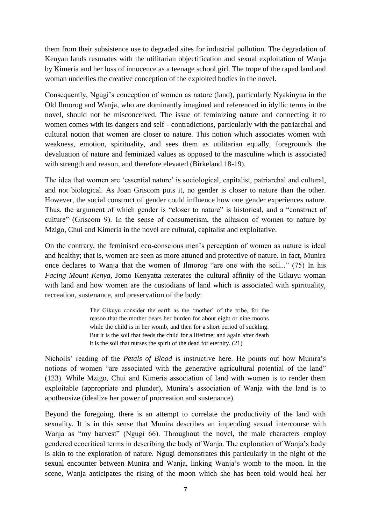them from their subsistence use to degraded sites for industrial pollution. The degradation of Kenyan lands resonates with the utilitarian objectification and sexual exploitation of Wanja by Kimeria and her loss of innocence as a teenage school girl. The trope of the raped land and woman underlies the creative conception of the exploited bodies in the novel.

Consequently, Ngugi's conception of women as nature (land), particularly Nyakinyua in the Old Ilmorog and Wanja, who are dominantly imagined and referenced in idyllic terms in the novel, should not be misconceived. The issue of feminizing nature and connecting it to women comes with its dangers and self - contradictions, particularly with the patriarchal and cultural notion that women are closer to nature. This notion which associates women with weakness, emotion, spirituality, and sees them as utilitarian equally, foregrounds the devaluation of nature and feminized values as opposed to the masculine which is associated with strength and reason, and therefore elevated (Birkeland 18-19).

The idea that women are 'essential nature' is sociological, capitalist, patriarchal and cultural, and not biological. As Joan Griscom puts it, no gender is closer to nature than the other. However, the social construct of gender could influence how one gender experiences nature. Thus, the argument of which gender is "closer to nature" is historical, and a "construct of culture" (Griscom 9). In the sense of consumerism, the allusion of women to nature by Mzigo, Chui and Kimeria in the novel are cultural, capitalist and exploitative.

On the contrary, the feminised eco-conscious men's perception of women as nature is ideal and healthy; that is, women are seen as more attuned and protective of nature. In fact, Munira once declares to Wanja that the women of Ilmorog "are one with the soil..." (75) In his *Facing Mount Kenya*, Jomo Kenyatta reiterates the cultural affinity of the Gikuyu woman with land and how women are the custodians of land which is associated with spirituality, recreation, sustenance, and preservation of the body:

> The Gikuyu consider the earth as the 'mother' of the tribe, for the reason that the mother bears her burden for about eight or nine moons while the child is in her womb, and then for a short period of suckling. But it is the soil that feeds the child for a lifetime; and again after death it is the soil that nurses the spirit of the dead for eternity. (21)

Nicholls' reading of the *Petals of Blood* is instructive here. He points out how Munira's notions of women "are associated with the generative agricultural potential of the land" (123). While Mzigo, Chui and Kimeria association of land with women is to render them exploitable (appropriate and plunder), Munira's association of Wanja with the land is to apotheosize (idealize her power of procreation and sustenance).

Beyond the foregoing, there is an attempt to correlate the productivity of the land with sexuality. It is in this sense that Munira describes an impending sexual intercourse with Wanja as "my harvest" (Ngugi 66). Throughout the novel, the male characters employ gendered ecocritical terms in describing the body of Wanja. The exploration of Wanja's body is akin to the exploration of nature. Ngugi demonstrates this particularly in the night of the sexual encounter between Munira and Wanja, linking Wanja's womb to the moon. In the scene, Wanja anticipates the rising of the moon which she has been told would heal her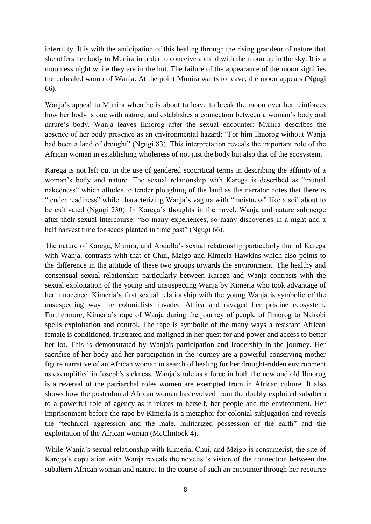infertility. It is with the anticipation of this healing through the rising grandeur of nature that she offers her body to Munira in order to conceive a child with the moon up in the sky. It is a moonless night while they are in the hut. The failure of the appearance of the moon signifies the unhealed womb of Wanja. At the point Munira wants to leave, the moon appears (Ngugi 66).

Wanja's appeal to Munira when he is about to leave to break the moon over her reinforces how her body is one with nature, and establishes a connection between a woman's body and nature's body. Wanja leaves Ilmorog after the sexual encounter; Munira describes the absence of her body presence as an environmental hazard: "For him Ilmorog without Wanja had been a land of drought" (Ngugi 83). This interpretation reveals the important role of the African woman in establishing wholeness of not just the body but also that of the ecosystem.

Karega is not left out in the use of gendered ecocritical terms in describing the affinity of a woman's body and nature. The sexual relationship with Karega is described as "mutual nakedness" which alludes to tender ploughing of the land as the narrator notes that there is "tender readiness" while characterizing Wanja's vagina with "moistness" like a soil about to be cultivated (Ngugi 230). In Karega's thoughts in the novel, Wanja and nature submerge after their sexual intercourse: "So many experiences, so many discoveries in a night and a half harvest time for seeds planted in time past" (Ngugi 66).

The nature of Karega, Munira, and Abdulla's sexual relationship particularly that of Karega with Wanja, contrasts with that of Chui, Mzigo and Kimeria Hawkins which also points to the difference in the attitude of these two groups towards the environment. The healthy and consensual sexual relationship particularly between Karega and Wanja contrasts with the sexual exploitation of the young and unsuspecting Wanja by Kimeria who took advantage of her innocence. Kimeria's first sexual relationship with the young Wanja is symbolic of the unsuspecting way the colonialists invaded Africa and ravaged her pristine ecosystem. Furthermore, Kimeria's rape of Wanja during the journey of people of Ilmorog to Nairobi spells exploitation and control. The rape is symbolic of the many ways a resistant African female is conditioned, frustrated and maligned in her quest for and power and access to better her lot. This is demonstrated by Wanja's participation and leadership in the journey. Her sacrifice of her body and her participation in the journey are a powerful conserving mother figure narrative of an African woman in search of healing for her drought-ridden environment as exemplified in Joseph's sickness. Wanja's role as a force in both the new and old Ilmorog is a reversal of the patriarchal roles women are exempted from in African culture. It also shows how the postcolonial African woman has evolved from the doubly exploited subaltern to a powerful role of agency as it relates to herself, her people and the environment. Her imprisonment before the rape by Kimeria is a metaphor for colonial subjugation and reveals the "technical aggression and the male, militarized possession of the earth" and the exploitation of the African woman (McClintock 4).

While Wanja's sexual relationship with Kimeria, Chui, and Mzigo is consumerist, the site of Karega's copulation with Wanja reveals the novelist's vision of the connection between the subaltern African woman and nature. In the course of such an encounter through her recourse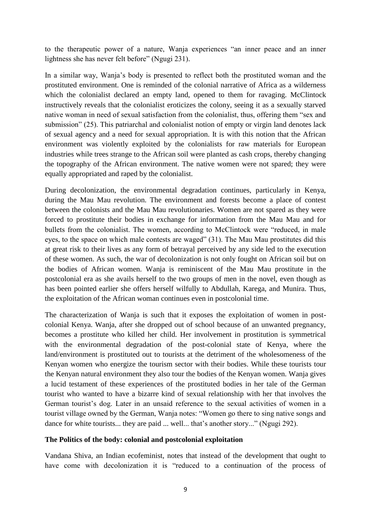to the therapeutic power of a nature, Wanja experiences "an inner peace and an inner lightness she has never felt before" (Ngugi 231).

In a similar way, Wanja's body is presented to reflect both the prostituted woman and the prostituted environment. One is reminded of the colonial narrative of Africa as a wilderness which the colonialist declared an empty land, opened to them for ravaging. McClintock instructively reveals that the colonialist eroticizes the colony, seeing it as a sexually starved native woman in need of sexual satisfaction from the colonialist, thus, offering them "sex and submission" (25). This patriarchal and colonialist notion of empty or virgin land denotes lack of sexual agency and a need for sexual appropriation. It is with this notion that the African environment was violently exploited by the colonialists for raw materials for European industries while trees strange to the African soil were planted as cash crops, thereby changing the topography of the African environment. The native women were not spared; they were equally appropriated and raped by the colonialist.

During decolonization, the environmental degradation continues, particularly in Kenya, during the Mau Mau revolution. The environment and forests become a place of contest between the colonists and the Mau Mau revolutionaries. Women are not spared as they were forced to prostitute their bodies in exchange for information from the Mau Mau and for bullets from the colonialist. The women, according to McClintock were "reduced, in male eyes, to the space on which male contests are waged" (31). The Mau Mau prostitutes did this at great risk to their lives as any form of betrayal perceived by any side led to the execution of these women. As such, the war of decolonization is not only fought on African soil but on the bodies of African women. Wanja is reminiscent of the Mau Mau prostitute in the postcolonial era as she avails herself to the two groups of men in the novel, even though as has been pointed earlier she offers herself wilfully to Abdullah, Karega, and Munira. Thus, the exploitation of the African woman continues even in postcolonial time.

The characterization of Wanja is such that it exposes the exploitation of women in postcolonial Kenya. Wanja, after she dropped out of school because of an unwanted pregnancy, becomes a prostitute who killed her child. Her involvement in prostitution is symmetrical with the environmental degradation of the post-colonial state of Kenya, where the land/environment is prostituted out to tourists at the detriment of the wholesomeness of the Kenyan women who energize the tourism sector with their bodies. While these tourists tour the Kenyan natural environment they also tour the bodies of the Kenyan women. Wanja gives a lucid testament of these experiences of the prostituted bodies in her tale of the German tourist who wanted to have a bizarre kind of sexual relationship with her that involves the German tourist's dog. Later in an unsaid reference to the sexual activities of women in a tourist village owned by the German, Wanja notes: "Women go there to sing native songs and dance for white tourists... they are paid ... well... that's another story..." (Ngugi 292).

### **The Politics of the body: colonial and postcolonial exploitation**

Vandana Shiva, an Indian ecofeminist, notes that instead of the development that ought to have come with decolonization it is "reduced to a continuation of the process of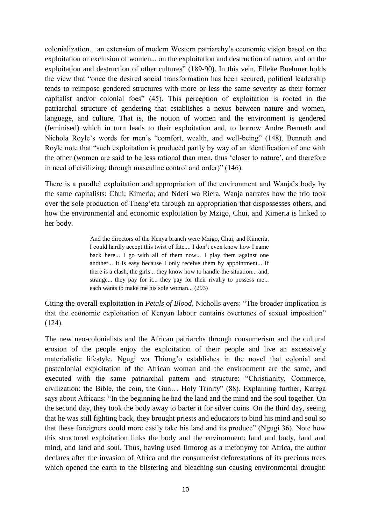colonialization... an extension of modern Western patriarchy's economic vision based on the exploitation or exclusion of women... on the exploitation and destruction of nature, and on the exploitation and destruction of other cultures" (189-90). In this vein, Elleke Boehmer holds the view that "once the desired social transformation has been secured, political leadership tends to reimpose gendered structures with more or less the same severity as their former capitalist and/or colonial foes" (45). This perception of exploitation is rooted in the patriarchal structure of gendering that establishes a nexus between nature and women, language, and culture. That is, the notion of women and the environment is gendered (feminised) which in turn leads to their exploitation and, to borrow Andre Benneth and Nichola Royle's words for men's "comfort, wealth, and well-being" (148). Benneth and Royle note that "such exploitation is produced partly by way of an identification of one with the other (women are said to be less rational than men, thus 'closer to nature', and therefore in need of civilizing, through masculine control and order)" (146).

There is a parallel exploitation and appropriation of the environment and Wanja's body by the same capitalists: Chui; Kimeria; and Nderi wa Riera. Wanja narrates how the trio took over the sole production of Theng'eta through an appropriation that dispossesses others, and how the environmental and economic exploitation by Mzigo, Chui, and Kimeria is linked to her body.

> And the directors of the Kenya branch were Mzigo, Chui, and Kimeria. I could hardly accept this twist of fate.... I don't even know how I came back here... I go with all of them now... I play them against one another... It is easy because I only receive them by appointment... If there is a clash, the girls... they know how to handle the situation... and, strange... they pay for it... they pay for their rivalry to possess me... each wants to make me his sole woman... (293)

Citing the overall exploitation in *Petals of Blood*, Nicholls avers: "The broader implication is that the economic exploitation of Kenyan labour contains overtones of sexual imposition" (124).

The new neo-colonialists and the African patriarchs through consumerism and the cultural erosion of the people enjoy the exploitation of their people and live an excessively materialistic lifestyle. Ngugi wa Thiong'o establishes in the novel that colonial and postcolonial exploitation of the African woman and the environment are the same, and executed with the same patriarchal pattern and structure: "Christianity, Commerce, civilization: the Bible, the coin, the Gun… Holy Trinity" (88). Explaining further, Karega says about Africans: "In the beginning he had the land and the mind and the soul together. On the second day, they took the body away to barter it for silver coins. On the third day, seeing that he was still fighting back, they brought priests and educators to bind his mind and soul so that these foreigners could more easily take his land and its produce" (Ngugi 36). Note how this structured exploitation links the body and the environment: land and body, land and mind, and land and soul. Thus, having used Ilmorog as a metonymy for Africa, the author declares after the invasion of Africa and the consumerist deforestations of its precious trees which opened the earth to the blistering and bleaching sun causing environmental drought: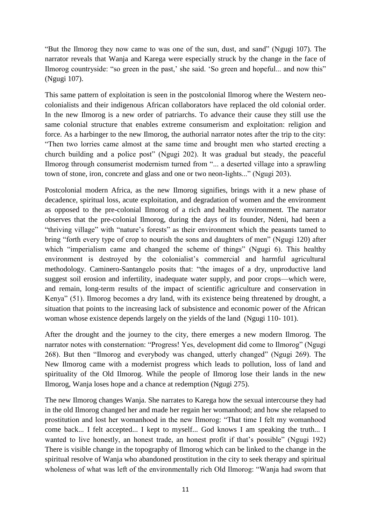"But the Ilmorog they now came to was one of the sun, dust, and sand" (Ngugi 107). The narrator reveals that Wanja and Karega were especially struck by the change in the face of Ilmorog countryside: "so green in the past,' she said. 'So green and hopeful... and now this" (Ngugi 107).

This same pattern of exploitation is seen in the postcolonial Ilmorog where the Western neocolonialists and their indigenous African collaborators have replaced the old colonial order. In the new Ilmorog is a new order of patriarchs. To advance their cause they still use the same colonial structure that enables extreme consumerism and exploitation: religion and force. As a harbinger to the new Ilmorog, the authorial narrator notes after the trip to the city: "Then two lorries came almost at the same time and brought men who started erecting a church building and a police post" (Ngugi 202). It was gradual but steady, the peaceful Ilmorog through consumerist modernism turned from "... a deserted village into a sprawling town of stone, iron, concrete and glass and one or two neon-lights..." (Ngugi 203).

Postcolonial modern Africa, as the new Ilmorog signifies, brings with it a new phase of decadence, spiritual loss, acute exploitation, and degradation of women and the environment as opposed to the pre-colonial Ilmorog of a rich and healthy environment. The narrator observes that the pre-colonial Ilmorog, during the days of its founder, Ndeni, had been a "thriving village" with "nature's forests" as their environment which the peasants tamed to bring "forth every type of crop to nourish the sons and daughters of men" (Ngugi 120) after which "imperialism came and changed the scheme of things" (Ngugi 6). This healthy environment is destroyed by the colonialist's commercial and harmful agricultural methodology. Caminero-Santangelo posits that: "the images of a dry, unproductive land suggest soil erosion and infertility, inadequate water supply, and poor crops—which were, and remain, long-term results of the impact of scientific agriculture and conservation in Kenya" (51). Ilmorog becomes a dry land, with its existence being threatened by drought, a situation that points to the increasing lack of subsistence and economic power of the African woman whose existence depends largely on the yields of the land (Ngugi 110- 101).

After the drought and the journey to the city, there emerges a new modern Ilmorog. The narrator notes with consternation: "Progress! Yes, development did come to Ilmorog" (Ngugi 268). But then "Ilmorog and everybody was changed, utterly changed" (Ngugi 269). The New Ilmorog came with a modernist progress which leads to pollution, loss of land and spirituality of the Old Ilmorog. While the people of Ilmorog lose their lands in the new Ilmorog, Wanja loses hope and a chance at redemption (Ngugi 275).

The new Ilmorog changes Wanja. She narrates to Karega how the sexual intercourse they had in the old Ilmorog changed her and made her regain her womanhood; and how she relapsed to prostitution and lost her womanhood in the new Ilmorog: "That time I felt my womanhood come back... I felt accepted... I kept to myself... God knows I am speaking the truth... I wanted to live honestly, an honest trade, an honest profit if that's possible" (Ngugi 192) There is visible change in the topography of Ilmorog which can be linked to the change in the spiritual resolve of Wanja who abandoned prostitution in the city to seek therapy and spiritual wholeness of what was left of the environmentally rich Old Ilmorog: "Wanja had sworn that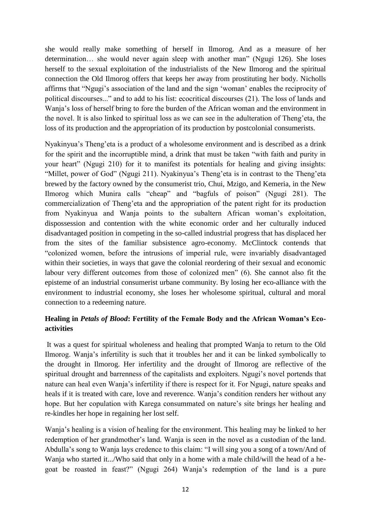she would really make something of herself in Ilmorog. And as a measure of her determination… she would never again sleep with another man" (Ngugi 126). She loses herself to the sexual exploitation of the industrialists of the New Ilmorog and the spiritual connection the Old Ilmorog offers that keeps her away from prostituting her body. Nicholls affirms that "Ngugi's association of the land and the sign 'woman' enables the reciprocity of political discourses..." and to add to his list: ecocritical discourses (21). The loss of lands and Wanja's loss of herself bring to fore the burden of the African woman and the environment in the novel. It is also linked to spiritual loss as we can see in the adulteration of Theng'eta, the loss of its production and the appropriation of its production by postcolonial consumerists.

Nyakinyua's Theng'eta is a product of a wholesome environment and is described as a drink for the spirit and the incorruptible mind, a drink that must be taken "with faith and purity in your heart" (Ngugi 210) for it to manifest its potentials for healing and giving insights: "Millet, power of God" (Ngugi 211). Nyakinyua's Theng'eta is in contrast to the Theng'eta brewed by the factory owned by the consumerist trio, Chui, Mzigo, and Kemeria, in the New Ilmorog which Munira calls "cheap" and "bagfuls of poison" (Ngugi 281). The commercialization of Theng'eta and the appropriation of the patent right for its production from Nyakinyua and Wanja points to the subaltern African woman's exploitation, dispossession and contention with the white economic order and her culturally induced disadvantaged position in competing in the so-called industrial progress that has displaced her from the sites of the familiar subsistence agro-economy. McClintock contends that "colonized women, before the intrusions of imperial rule, were invariably disadvantaged within their societies, in ways that gave the colonial reordering of their sexual and economic labour very different outcomes from those of colonized men" (6). She cannot also fit the episteme of an industrial consumerist urbane community. By losing her eco-alliance with the environment to industrial economy, she loses her wholesome spiritual, cultural and moral connection to a redeeming nature.

# **Healing in** *Petals of Blood***: Fertility of the Female Body and the African Woman's Ecoactivities**

It was a quest for spiritual wholeness and healing that prompted Wanja to return to the Old Ilmorog. Wanja's infertility is such that it troubles her and it can be linked symbolically to the drought in Ilmorog. Her infertility and the drought of Ilmorog are reflective of the spiritual drought and barrenness of the capitalists and exploiters. Ngugi's novel portends that nature can heal even Wanja's infertility if there is respect for it. For Ngugi, nature speaks and heals if it is treated with care, love and reverence. Wanja's condition renders her without any hope. But her copulation with Karega consummated on nature's site brings her healing and re-kindles her hope in regaining her lost self.

Wanja's healing is a vision of healing for the environment. This healing may be linked to her redemption of her grandmother's land. Wanja is seen in the novel as a custodian of the land. Abdulla's song to Wanja lays credence to this claim: "I will sing you a song of a town/And of Wanja who started it.../Who said that only in a home with a male child/will the head of a hegoat be roasted in feast?" (Ngugi 264) Wanja's redemption of the land is a pure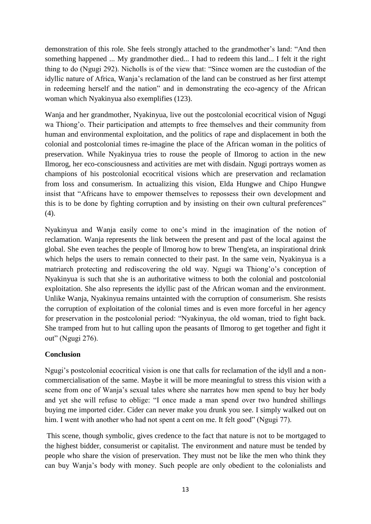demonstration of this role. She feels strongly attached to the grandmother's land: "And then something happened ... My grandmother died... I had to redeem this land... I felt it the right thing to do (Ngugi 292). Nicholls is of the view that: "Since women are the custodian of the idyllic nature of Africa, Wanja's reclamation of the land can be construed as her first attempt in redeeming herself and the nation" and in demonstrating the eco-agency of the African woman which Nyakinyua also exemplifies (123).

Wanja and her grandmother, Nyakinyua, live out the postcolonial ecocritical vision of Ngugi wa Thiong'o. Their participation and attempts to free themselves and their community from human and environmental exploitation, and the politics of rape and displacement in both the colonial and postcolonial times re-imagine the place of the African woman in the politics of preservation. While Nyakinyua tries to rouse the people of Ilmorog to action in the new Ilmorog, her eco-consciousness and activities are met with disdain. Ngugi portrays women as champions of his postcolonial ecocritical visions which are preservation and reclamation from loss and consumerism. In actualizing this vision, Elda Hungwe and Chipo Hungwe insist that "Africans have to empower themselves to repossess their own development and this is to be done by fighting corruption and by insisting on their own cultural preferences" (4).

Nyakinyua and Wanja easily come to one's mind in the imagination of the notion of reclamation. Wanja represents the link between the present and past of the local against the global. She even teaches the people of llmorog how to brew Theng'eta, an inspirational drink which helps the users to remain connected to their past. In the same vein, Nyakinyua is a matriarch protecting and rediscovering the old way. Ngugi wa Thiong'o's conception of Nyakinyua is such that she is an authoritative witness to both the colonial and postcolonial exploitation. She also represents the idyllic past of the African woman and the environment. Unlike Wanja, Nyakinyua remains untainted with the corruption of consumerism. She resists the corruption of exploitation of the colonial times and is even more forceful in her agency for preservation in the postcolonial period: "Nyakinyua, the old woman, tried to fight back. She tramped from hut to hut calling upon the peasants of Ilmorog to get together and fight it out" (Ngugi 276).

# **Conclusion**

Ngugi's postcolonial ecocritical vision is one that calls for reclamation of the idyll and a noncommercialisation of the same. Maybe it will be more meaningful to stress this vision with a scene from one of Wanja's sexual tales where she narrates how men spend to buy her body and yet she will refuse to oblige: "I once made a man spend over two hundred shillings buying me imported cider. Cider can never make you drunk you see. I simply walked out on him. I went with another who had not spent a cent on me. It felt good" (Ngugi 77).

This scene, though symbolic, gives credence to the fact that nature is not to be mortgaged to the highest bidder, consumerist or capitalist. The environment and nature must be tended by people who share the vision of preservation. They must not be like the men who think they can buy Wanja's body with money. Such people are only obedient to the colonialists and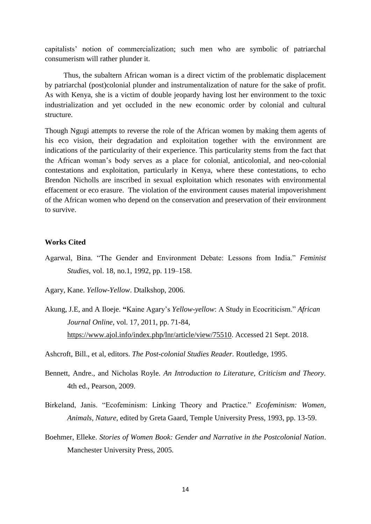capitalists' notion of commercialization; such men who are symbolic of patriarchal consumerism will rather plunder it.

 Thus, the subaltern African woman is a direct victim of the problematic displacement by patriarchal (post)colonial plunder and instrumentalization of nature for the sake of profit. As with Kenya, she is a victim of double jeopardy having lost her environment to the toxic industrialization and yet occluded in the new economic order by colonial and cultural structure.

Though Ngugi attempts to reverse the role of the African women by making them agents of his eco vision, their degradation and exploitation together with the environment are indications of the particularity of their experience. This particularity stems from the fact that the African woman's body serves as a place for colonial, anticolonial, and neo-colonial contestations and exploitation, particularly in Kenya, where these contestations, to echo Brendon Nicholls are inscribed in sexual exploitation which resonates with environmental effacement or eco erasure. The violation of the environment causes material impoverishment of the African women who depend on the conservation and preservation of their environment to survive.

## **Works Cited**

- Agarwal, Bina. "The Gender and Environment Debate: Lessons from India." *Feminist Studies*, vol. 18, no.1, 1992, pp. 119–158.
- Agary, Kane. *Yellow-Yellow*. Dtalkshop, 2006.
- Akung, J.E, and A Iloeje. **"**Kaine Agary's *Yellow-yellow*: A Study in Ecocriticism." *African Journal Online*, vol. 17, 2011, pp. 71-84, [https://www.ajol.info/index.php/lnr/article/view/75510.](https://www.ajol.info/index.php/lnr/article/view/75510) Accessed 21 Sept. 2018.

Ashcroft, Bill., et al, editors. *The Post-colonial Studies Reader.* Routledge, 1995.

- Bennett, Andre., and Nicholas Royle. *An Introduction to Literature, Criticism and Theory.* 4th ed., Pearson, 2009.
- Birkeland, Janis. "Ecofeminism: Linking Theory and Practice." *Ecofeminism: Women, Animals, Nature*, edited by Greta Gaard, Temple University Press, 1993, pp. 13-59.
- Boehmer, Elleke. *Stories of Women Book: Gender and Narrative in the Postcolonial Nation*. Manchester University Press, 2005.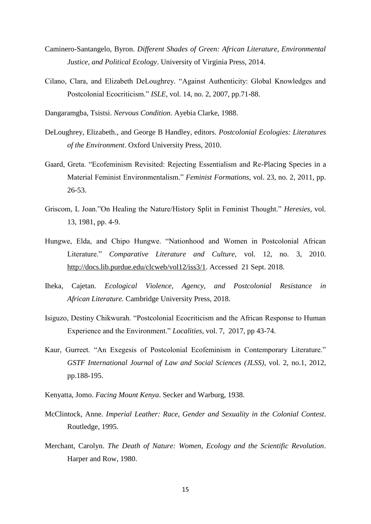- Caminero-Santangelo, Byron. *Different Shades of Green: African Literature, Environmental Justice, and Political Ecology*. University of Virginia Press, 2014.
- Cilano, Clara, and Elizabeth DeLoughrey. "Against Authenticity: Global Knowledges and Postcolonial Ecocriticism." *ISLE*, vol. 14, no. 2, 2007, pp.71-88.
- Dangaramgba, Tsistsi. *Nervous Condition*. Ayebia Clarke, 1988.
- DeLoughrey, Elizabeth., and George B Handley, editors. *Postcolonial Ecologies: Literatures of the Environment*. Oxford University Press, 2010.
- Gaard, Greta. "Ecofeminism Revisited: Rejecting Essentialism and Re-Placing Species in a Material Feminist Environmentalism." *Feminist Formations*, vol. 23, no. 2, 2011, pp. 26-53.
- Griscom, L Joan."On Healing the Nature/History Split in Feminist Thought." *Heresies*, vol. 13, 1981, pp. 4-9.
- Hungwe, Elda, and Chipo Hungwe. "Nationhood and Women in Postcolonial African Literature." *Comparative Literature and Culture,* vol. 12, no. 3, 2010. [http://docs.lib.purdue.edu/clcweb/vol12/iss3/1.](http://docs.lib.purdue.edu/clcweb/vol12/iss3/1) Accessed 21 Sept. 2018.
- Iheka, Cajetan. *Ecological Violence, Agency, and Postcolonial Resistance in African Literature.* Cambridge University Press, 2018.
- Isiguzo, Destiny Chikwurah. "Postcolonial Ecocriticism and the African Response to Human Experience and the Environment." *Localities*, vol. 7, 2017, pp 43-74.
- Kaur, Gurreet. "An Exegesis of Postcolonial Ecofeminism in Contemporary Literature." *GSTF International Journal of Law and Social Sciences (JLSS)*, vol. 2, no.1, 2012, pp.188-195.
- Kenyatta, Jomo. *Facing Mount Kenya*. Secker and Warburg, 1938.
- McClintock, Anne. *Imperial Leather: Race, Gender and Sexuality in the Colonial Contest*. Routledge, 1995.
- Merchant, Carolyn. *The Death of Nature: Women, Ecology and the Scientific Revolution*. Harper and Row, 1980.